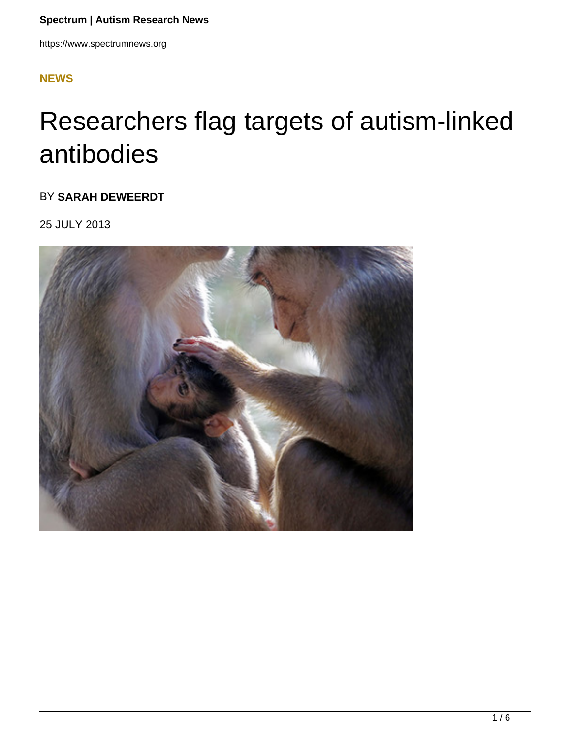#### **[NEWS](HTTPS://WWW.SPECTRUMNEWS.ORG/NEWS/)**

# Researchers flag targets of autism-linked antibodies

BY **SARAH DEWEERDT**

25 JULY 2013

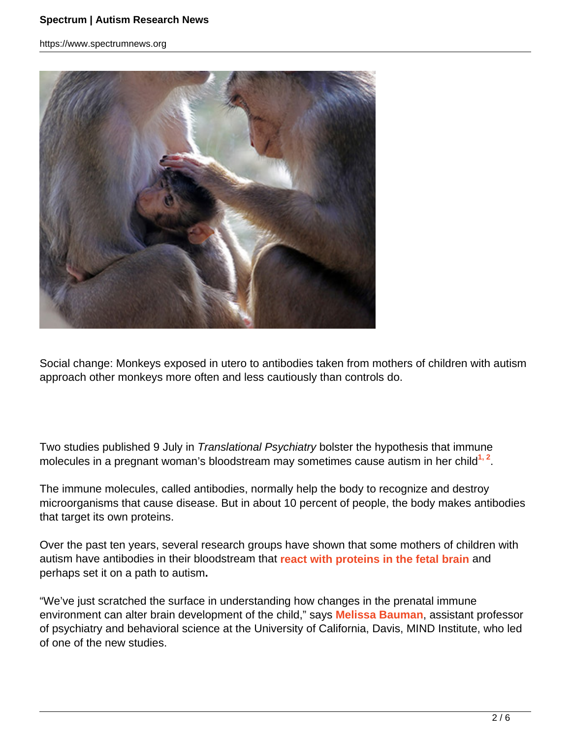https://www.spectrumnews.org



Social change: Monkeys exposed in utero to antibodies taken from mothers of children with autism approach other monkeys more often and less cautiously than controls do.

Two studies published 9 July in Translational Psychiatry bolster the hypothesis that immune molecules in a pregnant woman's bloodstream may sometimes cause autism in her child<sup>1, 2</sup>.

The immune molecules, called antibodies, normally help the body to recognize and destroy microorganisms that cause disease. But in about 10 percent of people, the body makes antibodies that target its own proteins.

Over the past ten years, several research groups have shown that some mothers of children with autism have antibodies in their bloodstream that **react with proteins in the fetal brain** and perhaps set it on a path to autism**.**

"We've just scratched the surface in understanding how changes in the prenatal immune environment can alter brain development of the child," says **Melissa Bauman**, assistant professor of psychiatry and behavioral science at the University of California, Davis, MIND Institute, who led of one of the new studies.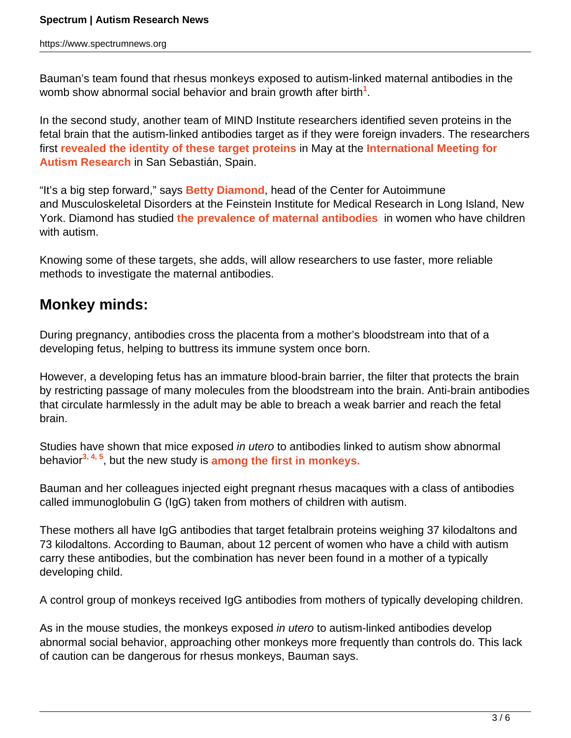Bauman's team found that rhesus monkeys exposed to autism-linked maternal antibodies in the womb show abnormal social behavior and brain growth after birth**<sup>1</sup>** .

In the second study, another team of MIND Institute researchers identified seven proteins in the fetal brain that the autism-linked antibodies target as if they were foreign invaders. The researchers first **revealed the identity of these target proteins** in May at the **International Meeting for Autism Research** in San Sebastián, Spain.

"It's a big step forward," says **Betty Diamond**, head of the Center for Autoimmune and Musculoskeletal Disorders at the Feinstein Institute for Medical Research in Long Island, New York. Diamond has studied **the prevalence of maternal antibodies** in women who have children with autism.

Knowing some of these targets, she adds, will allow researchers to use faster, more reliable methods to investigate the maternal antibodies.

### **Monkey minds:**

During pregnancy, antibodies cross the placenta from a mother's bloodstream into that of a developing fetus, helping to buttress its immune system once born.

However, a developing fetus has an immature blood-brain barrier, the filter that protects the brain by restricting passage of many molecules from the bloodstream into the brain. Anti-brain antibodies that circulate harmlessly in the adult may be able to breach a weak barrier and reach the fetal brain.

Studies have shown that mice exposed in utero to antibodies linked to autism show abnormal behavior**3, 4, 5**, but the new study is **among the first in monkeys.**

Bauman and her colleagues injected eight pregnant rhesus macaques with a class of antibodies called immunoglobulin G (IgG) taken from mothers of children with autism.

These mothers all have IgG antibodies that target fetalbrain proteins weighing 37 kilodaltons and 73 kilodaltons. According to Bauman, about 12 percent of women who have a child with autism carry these antibodies, but the combination has never been found in a mother of a typically developing child.

A control group of monkeys received IgG antibodies from mothers of typically developing children.

As in the mouse studies, the monkeys exposed in utero to autism-linked antibodies develop abnormal social behavior, approaching other monkeys more frequently than controls do. This lack of caution can be dangerous for rhesus monkeys, Bauman says.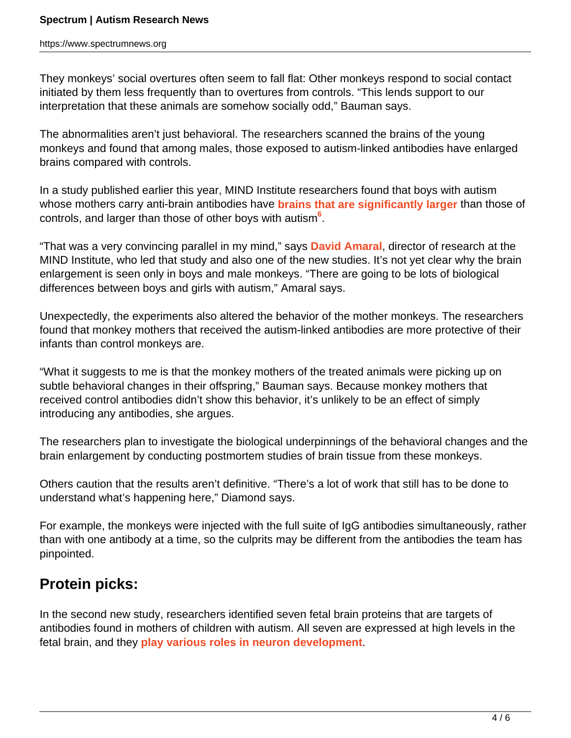https://www.spectrumnews.org

They monkeys' social overtures often seem to fall flat: Other monkeys respond to social contact initiated by them less frequently than to overtures from controls. "This lends support to our interpretation that these animals are somehow socially odd," Bauman says.

The abnormalities aren't just behavioral. The researchers scanned the brains of the young monkeys and found that among males, those exposed to autism-linked antibodies have enlarged brains compared with controls.

In a study published earlier this year, MIND Institute researchers found that boys with autism whose mothers carry anti-brain antibodies have **brains that are significantly larger** than those of controls, and larger than those of other boys with autism**<sup>6</sup>** .

"That was a very convincing parallel in my mind," says **David Amaral**, director of research at the MIND Institute, who led that study and also one of the new studies. It's not yet clear why the brain enlargement is seen only in boys and male monkeys. "There are going to be lots of biological differences between boys and girls with autism," Amaral says.

Unexpectedly, the experiments also altered the behavior of the mother monkeys. The researchers found that monkey mothers that received the autism-linked antibodies are more protective of their infants than control monkeys are.

"What it suggests to me is that the monkey mothers of the treated animals were picking up on subtle behavioral changes in their offspring," Bauman says. Because monkey mothers that received control antibodies didn't show this behavior, it's unlikely to be an effect of simply introducing any antibodies, she argues.

The researchers plan to investigate the biological underpinnings of the behavioral changes and the brain enlargement by conducting postmortem studies of brain tissue from these monkeys.

Others caution that the results aren't definitive. "There's a lot of work that still has to be done to understand what's happening here," Diamond says.

For example, the monkeys were injected with the full suite of IgG antibodies simultaneously, rather than with one antibody at a time, so the culprits may be different from the antibodies the team has pinpointed.

## **Protein picks:**

In the second new study, researchers identified seven fetal brain proteins that are targets of antibodies found in mothers of children with autism. All seven are expressed at high levels in the fetal brain, and they **play various roles in neuron development**.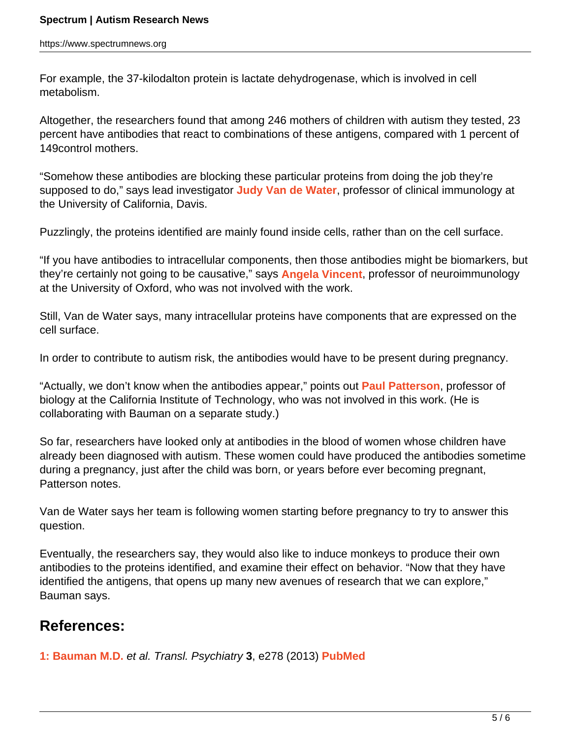For example, the 37-kilodalton protein is lactate dehydrogenase, which is involved in cell metabolism.

Altogether, the researchers found that among 246 mothers of children with autism they tested, 23 percent have antibodies that react to combinations of these antigens, compared with 1 percent of 149control mothers.

"Somehow these antibodies are blocking these particular proteins from doing the job they're supposed to do," says lead investigator **Judy Van de Water**, professor of clinical immunology at the University of California, Davis.

Puzzlingly, the proteins identified are mainly found inside cells, rather than on the cell surface.

"If you have antibodies to intracellular components, then those antibodies might be biomarkers, but they're certainly not going to be causative," says **Angela Vincent**, professor of neuroimmunology at the University of Oxford, who was not involved with the work.

Still, Van de Water says, many intracellular proteins have components that are expressed on the cell surface.

In order to contribute to autism risk, the antibodies would have to be present during pregnancy.

"Actually, we don't know when the antibodies appear," points out **Paul Patterson**, professor of biology at the California Institute of Technology, who was not involved in this work. (He is collaborating with Bauman on a separate study.)

So far, researchers have looked only at antibodies in the blood of women whose children have already been diagnosed with autism. These women could have produced the antibodies sometime during a pregnancy, just after the child was born, or years before ever becoming pregnant, Patterson notes.

Van de Water says her team is following women starting before pregnancy to try to answer this question.

Eventually, the researchers say, they would also like to induce monkeys to produce their own antibodies to the proteins identified, and examine their effect on behavior. "Now that they have identified the antigens, that opens up many new avenues of research that we can explore," Bauman says.

#### **References:**

**1: Bauman M.D.** et al. Transl. Psychiatry **3**, e278 (2013) **PubMed**